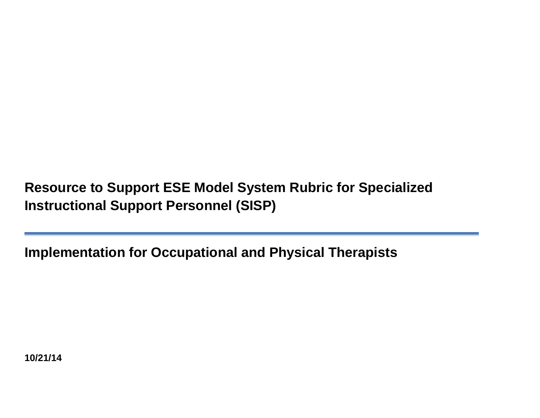**Resource to Support ESE Model System Rubric for Specialized Instructional Support Personnel (SISP)**

**Implementation for Occupational and Physical Therapists**

**10/21/14**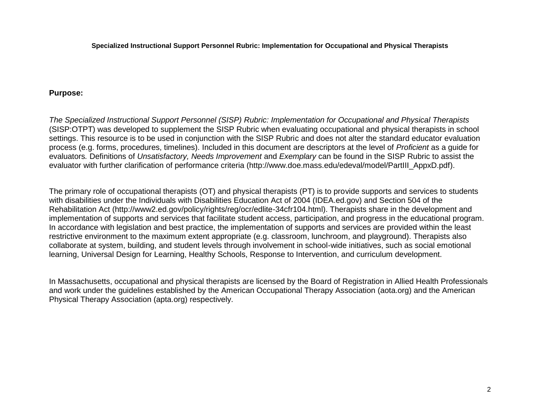#### **Purpose:**

*The Specialized Instructional Support Personnel (SISP) Rubric: Implementation for Occupational and Physical Therapists* (SISP:OTPT) was developed to supplement the SISP Rubric when evaluating occupational and physical therapists in school settings. This resource is to be used in conjunction with the SISP Rubric and does not alter the standard educator evaluation process (e.g. forms, procedures, timelines). Included in this document are descriptors at the level of *Proficient* as a guide for evaluators*.* Definitions of *Unsatisfactory, Needs Improvement* and *Exemplary* can be found in the SISP Rubric to assist the evaluator with further clarification of performance criteria (http://www.doe.mass.edu/edeval/model/PartIII\_AppxD.pdf).

The primary role of occupational therapists (OT) and physical therapists (PT) is to provide supports and services to students with disabilities under the Individuals with Disabilities Education Act of 2004 (IDEA.ed.gov) and Section 504 of the Rehabilitation Act (http://www2.ed.gov/policy/rights/reg/ocr/edlite-34cfr104.html). Therapists share in the development and implementation of supports and services that facilitate student access, participation, and progress in the educational program. In accordance with legislation and best practice, the implementation of supports and services are provided within the least restrictive environment to the maximum extent appropriate (e.g. classroom, lunchroom, and playground). Therapists also collaborate at system, building, and student levels through involvement in school-wide initiatives, such as social emotional learning, Universal Design for Learning, Healthy Schools, Response to Intervention, and curriculum development.

In Massachusetts, occupational and physical therapists are licensed by the Board of Registration in Allied Health Professionals and work under the guidelines established by the American Occupational Therapy Association (aota.org) and the American Physical Therapy Association (apta.org) respectively.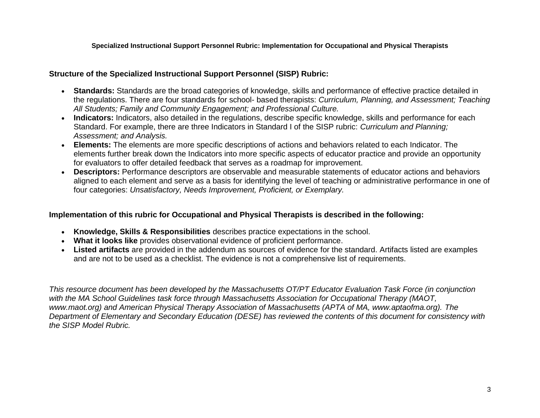#### **Structure of the Specialized Instructional Support Personnel (SISP) Rubric:**

- **Standards:** Standards are the broad categories of knowledge, skills and performance of effective practice detailed in the regulations. There are four standards for school- based therapists: *Curriculum, Planning, and Assessment; Teaching All Students; Family and Community Engagement; and Professional Culture.*
- **Indicators:** Indicators, also detailed in the regulations, describe specific knowledge, skills and performance for each Standard. For example, there are three Indicators in Standard I of the SISP rubric: *Curriculum and Planning; Assessment; and Analysis.*
- **Elements:** The elements are more specific descriptions of actions and behaviors related to each Indicator. The elements further break down the Indicators into more specific aspects of educator practice and provide an opportunity for evaluators to offer detailed feedback that serves as a roadmap for improvement.
- **Descriptors:** Performance descriptors are observable and measurable statements of educator actions and behaviors aligned to each element and serve as a basis for identifying the level of teaching or administrative performance in one of four categories: *Unsatisfactory, Needs Improvement, Proficient, or Exemplary.*

#### **Implementation of this rubric for Occupational and Physical Therapists is described in the following:**

- **Knowledge, Skills & Responsibilities** describes practice expectations in the school.
- **What it looks like** provides observational evidence of proficient performance.
- **Listed artifacts** are provided in the addendum as sources of evidence for the standard. Artifacts listed are examples and are not to be used as a checklist. The evidence is not a comprehensive list of requirements.

*This resource document has been developed by the Massachusetts OT/PT Educator Evaluation Task Force (in conjunction with the MA School Guidelines task force through Massachusetts Association for Occupational Therapy (MAOT, www.maot.org) and American Physical Therapy Association of Massachusetts (APTA of MA, www.aptaofma.org). The Department of Elementary and Secondary Education (DESE) has reviewed the contents of this document for consistency with the SISP Model Rubric.*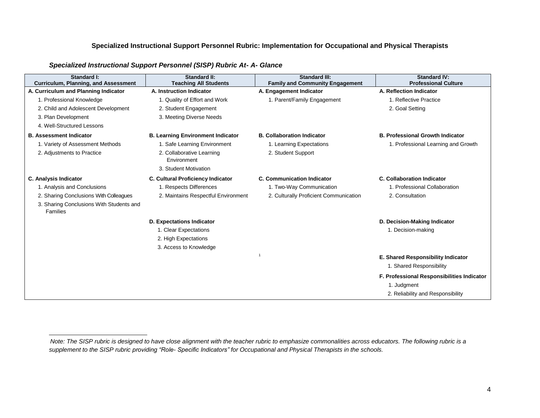| Standard I:<br>Curriculum, Planning, and Assessment  | Standard II:<br><b>Teaching All Students</b> | <b>Standard III:</b><br><b>Family and Community Engagement</b> | <b>Standard IV:</b><br><b>Professional Culture</b> |
|------------------------------------------------------|----------------------------------------------|----------------------------------------------------------------|----------------------------------------------------|
| A. Curriculum and Planning Indicator                 | A. Instruction Indicator                     | A. Engagement Indicator                                        | A. Reflection Indicator                            |
| 1. Professional Knowledge                            | 1. Quality of Effort and Work                | 1. Parent/Family Engagement                                    | 1. Reflective Practice                             |
| 2. Child and Adolescent Development                  | 2. Student Engagement                        |                                                                | 2. Goal Setting                                    |
| 3. Plan Development                                  | 3. Meeting Diverse Needs                     |                                                                |                                                    |
| 4. Well-Structured Lessons                           |                                              |                                                                |                                                    |
| <b>B. Assessment Indicator</b>                       | <b>B. Learning Environment Indicator</b>     | <b>B. Collaboration Indicator</b>                              | <b>B. Professional Growth Indicator</b>            |
| 1. Variety of Assessment Methods                     | 1. Safe Learning Environment                 | 1. Learning Expectations                                       | 1. Professional Learning and Growth                |
| 2. Adjustments to Practice                           | 2. Collaborative Learning<br>Environment     | 2. Student Support                                             |                                                    |
|                                                      | 3. Student Motivation                        |                                                                |                                                    |
| C. Analysis Indicator                                | C. Cultural Proficiency Indicator            | <b>C. Communication Indicator</b>                              | <b>C. Collaboration Indicator</b>                  |
| 1. Analysis and Conclusions                          | 1. Respects Differences                      | 1. Two-Way Communication                                       | 1. Professional Collaboration                      |
| 2. Sharing Conclusions With Colleagues               | 2. Maintains Respectful Environment          | 2. Culturally Proficient Communication                         | 2. Consultation                                    |
| 3. Sharing Conclusions With Students and<br>Families |                                              |                                                                |                                                    |
|                                                      | <b>D. Expectations Indicator</b>             |                                                                | D. Decision-Making Indicator                       |
|                                                      | 1. Clear Expectations                        |                                                                | 1. Decision-making                                 |
|                                                      | 2. High Expectations                         |                                                                |                                                    |
|                                                      | 3. Access to Knowledge                       |                                                                |                                                    |
|                                                      |                                              | $\overline{1}$                                                 | E. Shared Responsibility Indicator                 |
|                                                      |                                              |                                                                | 1. Shared Responsibility                           |
|                                                      |                                              |                                                                | F. Professional Responsibilities Indicator         |
|                                                      |                                              |                                                                | 1. Judgment                                        |
|                                                      |                                              |                                                                | 2. Reliability and Responsibility                  |

#### *Specialized Instructional Support Personnel (SISP) Rubric At- A- Glance*

l

*Note: The SISP rubric is designed to have close alignment with the teacher rubric to emphasize commonalities across educators. The following rubric is a supplement to the SISP rubric providing "Role- Specific Indicators" for Occupational and Physical Therapists in the schools.*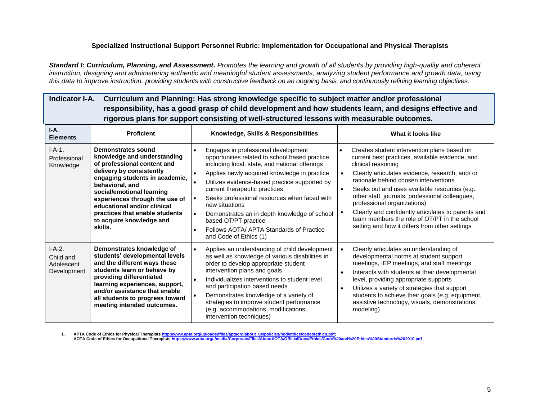*Standard I: Curriculum, Planning, and Assessment. Promotes the learning and growth of all students by providing high-quality and coherent instruction, designing and administering authentic and meaningful student assessments, analyzing student performance and growth data, using this data to improve instruction, providing students with constructive feedback on an ongoing basis, and continuously refining learning objectives.*

| Indicator I-A. | Curriculum and Planning: Has strong knowledge specific to subject matter and/or professional            |
|----------------|---------------------------------------------------------------------------------------------------------|
|                | responsibility, has a good grasp of child development and how students learn, and designs effective and |
|                | rigorous plans for support consisting of well-structured lessons with measurable outcomes.              |
|                |                                                                                                         |

| $I-A.$<br><b>Elements</b>                          | <b>Proficient</b>                                                                                                                                                                                                                                                                                                                        | Knowledge, Skills & Responsibilities                                                                                                                                                                                                                                                                                                                                                                                                                                                                   | What it looks like                                                                                                                                                                                                                                                                                                                                                                                                                                                                                                                  |
|----------------------------------------------------|------------------------------------------------------------------------------------------------------------------------------------------------------------------------------------------------------------------------------------------------------------------------------------------------------------------------------------------|--------------------------------------------------------------------------------------------------------------------------------------------------------------------------------------------------------------------------------------------------------------------------------------------------------------------------------------------------------------------------------------------------------------------------------------------------------------------------------------------------------|-------------------------------------------------------------------------------------------------------------------------------------------------------------------------------------------------------------------------------------------------------------------------------------------------------------------------------------------------------------------------------------------------------------------------------------------------------------------------------------------------------------------------------------|
| $I-A-1.$<br>Professional<br>Knowledge              | Demonstrates sound<br>knowledge and understanding<br>of professional content and<br>delivery by consistently<br>engaging students in academic,<br>behavioral, and<br>social/emotional learning<br>experiences through the use of<br>educational and/or clinical<br>practices that enable students<br>to acquire knowledge and<br>skills. | Engages in professional development<br>opportunities related to school based practice<br>including local, state, and national offerings<br>Applies newly acquired knowledge in practice<br>Utilizes evidence-based practice supported by<br>current therapeutic practices<br>Seeks professional resources when faced with<br>new situations<br>Demonstrates an in depth knowledge of school<br>$\bullet$<br>based OT/PT practice<br>Follows AOTA/ APTA Standards of Practice<br>and Code of Ethics (1) | Creates student intervention plans based on<br>$\bullet$<br>current best practices, available evidence, and<br>clinical reasoning<br>Clearly articulates evidence, research, and/or<br>rationale behind chosen interventions<br>Seeks out and uses available resources (e.g.<br>$\bullet$<br>other staff, journals, professional colleagues,<br>professional organizations)<br>Clearly and confidently articulates to parents and<br>team members the role of OT/PT in the school<br>setting and how it differs from other settings |
| $I-A-2.$<br>Child and<br>Adolescent<br>Development | Demonstrates knowledge of<br>students' developmental levels<br>and the different ways these<br>students learn or behave by<br>providing differentiated<br>learning experiences, support,<br>and/or assistance that enable<br>all students to progress toward<br>meeting intended outcomes.                                               | Applies an understanding of child development<br>$\bullet$<br>as well as knowledge of various disabilities in<br>order to develop appropriate student<br>intervention plans and goals<br>Individualizes interventions to student level<br>and participation based needs<br>Demonstrates knowledge of a variety of<br>strategies to improve student performance<br>(e.g. accommodations, modifications,<br>intervention techniques)                                                                     | Clearly articulates an understanding of<br>developmental norms at student support<br>meetings, IEP meetings, and staff meetings<br>Interacts with students at their developmental<br>$\bullet$<br>level, providing appropriate supports<br>Utilizes a variety of strategies that support<br>$\bullet$<br>students to achieve their goals (e.g. equipment,<br>assistive technology, visuals, demonstrations,<br>modeling)                                                                                                            |

1. APTA Code of Ethics for Physical Therapists <u>http://www.apta.org/uploadedfiles/aptaorg/about\_us/policies/hod/ethics/codeofethics.pdf;</u><br>AOTA Code of Ethics for Occupational Therapists <u>https://www.aota.org/-/media/Corpor</u>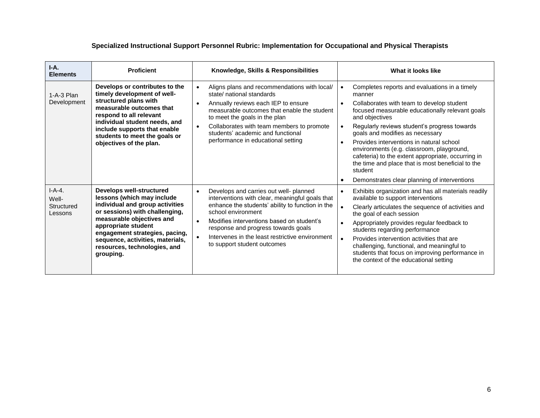| $I-A.$<br><b>Elements</b>                  | <b>Proficient</b>                                                                                                                                                                                                                                                                                         | Knowledge, Skills & Responsibilities                                                                                                                                                                                                                                                                                                                                             | What it looks like                                                                                                                                                                                                                                                                                                                                                                                                                                                                                                                                    |
|--------------------------------------------|-----------------------------------------------------------------------------------------------------------------------------------------------------------------------------------------------------------------------------------------------------------------------------------------------------------|----------------------------------------------------------------------------------------------------------------------------------------------------------------------------------------------------------------------------------------------------------------------------------------------------------------------------------------------------------------------------------|-------------------------------------------------------------------------------------------------------------------------------------------------------------------------------------------------------------------------------------------------------------------------------------------------------------------------------------------------------------------------------------------------------------------------------------------------------------------------------------------------------------------------------------------------------|
| $1-A-3$ Plan<br>Development                | Develops or contributes to the<br>timely development of well-<br>structured plans with<br>measurable outcomes that<br>respond to all relevant<br>individual student needs, and<br>include supports that enable<br>students to meet the goals or<br>objectives of the plan.                                | Aligns plans and recommendations with local/<br>$\bullet$<br>state/ national standards<br>Annually reviews each IEP to ensure<br>$\bullet$<br>measurable outcomes that enable the student<br>to meet the goals in the plan<br>Collaborates with team members to promote<br>$\bullet$<br>students' academic and functional<br>performance in educational setting                  | Completes reports and evaluations in a timely<br>manner<br>Collaborates with team to develop student<br>focused measurable educationally relevant goals<br>and objectives<br>Regularly reviews student's progress towards<br>goals and modifies as necessary<br>Provides interventions in natural school<br>$\bullet$<br>environments (e.g. classroom, playground,<br>cafeteria) to the extent appropriate, occurring in<br>the time and place that is most beneficial to the<br>student<br>Demonstrates clear planning of interventions<br>$\bullet$ |
| $I-A-4.$<br>Well-<br>Structured<br>Lessons | <b>Develops well-structured</b><br>lessons (which may include<br>individual and group activities<br>or sessions) with challenging,<br>measurable objectives and<br>appropriate student<br>engagement strategies, pacing,<br>sequence, activities, materials,<br>resources, technologies, and<br>grouping. | Develops and carries out well- planned<br>$\bullet$<br>interventions with clear, meaningful goals that<br>enhance the students' ability to function in the<br>school environment<br>Modifies interventions based on student's<br>$\bullet$<br>response and progress towards goals<br>Intervenes in the least restrictive environment<br>$\bullet$<br>to support student outcomes | Exhibits organization and has all materials readily<br>$\bullet$<br>available to support interventions<br>Clearly articulates the sequence of activities and<br>the goal of each session<br>Appropriately provides regular feedback to<br>students regarding performance<br>Provides intervention activities that are<br>challenging, functional, and meaningful to<br>students that focus on improving performance in<br>the context of the educational setting                                                                                      |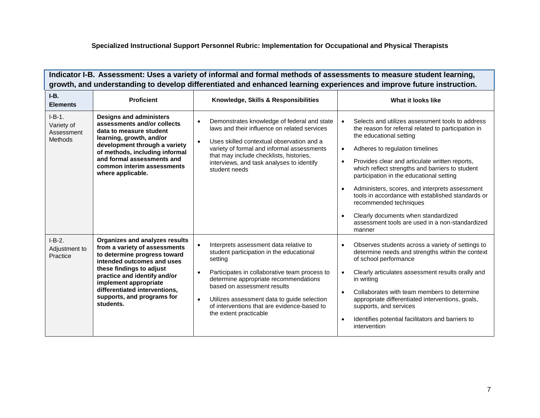**Indicator I-B. Assessment: Uses a variety of informal and formal methods of assessments to measure student learning, growth, and understanding to develop differentiated and enhanced learning experiences and improve future instruction.**

| $I-B.$<br><b>Elements</b>                       | <b>Proficient</b>                                                                                                                                                                                                                                                                              | Knowledge, Skills & Responsibilities                                                                                                                                                                                                                                                                                                                                     | What it looks like                                                                                                                                                                                                                                                                                                                                                                                                                                                                                                                                                                                              |
|-------------------------------------------------|------------------------------------------------------------------------------------------------------------------------------------------------------------------------------------------------------------------------------------------------------------------------------------------------|--------------------------------------------------------------------------------------------------------------------------------------------------------------------------------------------------------------------------------------------------------------------------------------------------------------------------------------------------------------------------|-----------------------------------------------------------------------------------------------------------------------------------------------------------------------------------------------------------------------------------------------------------------------------------------------------------------------------------------------------------------------------------------------------------------------------------------------------------------------------------------------------------------------------------------------------------------------------------------------------------------|
| $I-B-1.$<br>Variety of<br>Assessment<br>Methods | <b>Designs and administers</b><br>assessments and/or collects<br>data to measure student<br>learning, growth, and/or<br>development through a variety<br>of methods, including informal<br>and formal assessments and<br>common interim assessments<br>where applicable.                       | Demonstrates knowledge of federal and state<br>$\bullet$<br>laws and their influence on related services<br>Uses skilled contextual observation and a<br>$\bullet$<br>variety of formal and informal assessments<br>that may include checklists, histories,<br>interviews, and task analyses to identify<br>student needs                                                | Selects and utilizes assessment tools to address<br>the reason for referral related to participation in<br>the educational setting<br>Adheres to regulation timelines<br>$\bullet$<br>Provides clear and articulate written reports,<br>$\bullet$<br>which reflect strengths and barriers to student<br>participation in the educational setting<br>Administers, scores, and interprets assessment<br>$\bullet$<br>tools in accordance with established standards or<br>recommended techniques<br>Clearly documents when standardized<br>$\bullet$<br>assessment tools are used in a non-standardized<br>manner |
| $I-B-2.$<br>Adjustment to<br>Practice           | Organizes and analyzes results<br>from a variety of assessments<br>to determine progress toward<br>intended outcomes and uses<br>these findings to adjust<br>practice and identify and/or<br>implement appropriate<br>differentiated interventions,<br>supports, and programs for<br>students. | Interprets assessment data relative to<br>student participation in the educational<br>setting<br>Participates in collaborative team process to<br>$\bullet$<br>determine appropriate recommendations<br>based on assessment results<br>Utilizes assessment data to guide selection<br>$\bullet$<br>of interventions that are evidence-based to<br>the extent practicable | Observes students across a variety of settings to<br>$\bullet$<br>determine needs and strengths within the context<br>of school performance<br>Clearly articulates assessment results orally and<br>in writing<br>Collaborates with team members to determine<br>$\bullet$<br>appropriate differentiated interventions, goals,<br>supports, and services<br>Identifies potential facilitators and barriers to<br>$\bullet$<br>intervention                                                                                                                                                                      |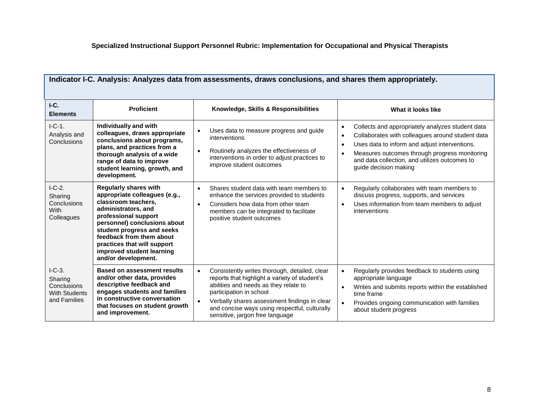| $IC$ .<br><b>Elements</b>                                                 | <b>Proficient</b>                                                                                                                                                                                                                                                                                                | Knowledge, Skills & Responsibilities                                                                                                                                                                                                                                                                   | What it looks like                                                                                                                                                                                                                                                                                                                   |
|---------------------------------------------------------------------------|------------------------------------------------------------------------------------------------------------------------------------------------------------------------------------------------------------------------------------------------------------------------------------------------------------------|--------------------------------------------------------------------------------------------------------------------------------------------------------------------------------------------------------------------------------------------------------------------------------------------------------|--------------------------------------------------------------------------------------------------------------------------------------------------------------------------------------------------------------------------------------------------------------------------------------------------------------------------------------|
| $I-C-1.$<br>Analysis and<br>Conclusions                                   | Individually and with<br>colleagues, draws appropriate<br>conclusions about programs,<br>plans, and practices from a<br>thorough analysis of a wide<br>range of data to improve<br>student learning, growth, and<br>development.                                                                                 | Uses data to measure progress and guide<br>interventions<br>Routinely analyzes the effectiveness of<br>$\bullet$<br>interventions in order to adjust practices to<br>improve student outcomes                                                                                                          | Collects and appropriately analyzes student data<br>$\bullet$<br>Collaborates with colleagues around student data<br>$\bullet$<br>Uses data to inform and adjust interventions.<br>$\bullet$<br>Measures outcomes through progress monitoring<br>$\bullet$<br>and data collection, and utilizes outcomes to<br>guide decision making |
| $I-C-2.$<br>Sharing<br>Conclusions<br><b>With</b><br>Colleagues           | <b>Regularly shares with</b><br>appropriate colleagues (e.g.,<br>classroom teachers,<br>administrators, and<br>professional support<br>personnel) conclusions about<br>student progress and seeks<br>feedback from them about<br>practices that will support<br>improved student learning<br>and/or development. | Shares student data with team members to<br>$\bullet$<br>enhance the services provided to students<br>Considers how data from other team<br>$\bullet$<br>members can be integrated to facilitate<br>positive student outcomes                                                                          | Regularly collaborates with team members to<br>$\bullet$<br>discuss progress, supports, and services<br>Uses information from team members to adjust<br>$\bullet$<br>interventions                                                                                                                                                   |
| $IC-3.$<br>Sharing<br>Conclusions<br><b>With Students</b><br>and Families | <b>Based on assessment results</b><br>and/or other data, provides<br>descriptive feedback and<br>engages students and families<br>in constructive conversation<br>that focuses on student growth<br>and improvement.                                                                                             | Consistently writes thorough, detailed, clear<br>reports that highlight a variety of student's<br>abilities and needs as they relate to<br>participation in school<br>Verbally shares assessment findings in clear<br>and concise ways using respectful, culturally<br>sensitive, jargon free language | Regularly provides feedback to students using<br>$\bullet$<br>appropriate language<br>Writes and submits reports within the established<br>$\bullet$<br>time frame<br>Provides ongoing communication with families<br>about student progress                                                                                         |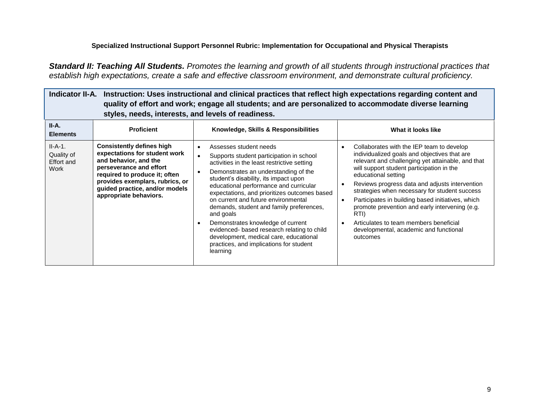*Standard II: Teaching All Students. Promotes the learning and growth of all students through instructional practices that establish high expectations, create a safe and effective classroom environment, and demonstrate cultural proficiency.*

| Instruction: Uses instructional and clinical practices that reflect high expectations regarding content and<br><b>Indicator II-A.</b><br>quality of effort and work; engage all students; and are personalized to accommodate diverse learning<br>styles, needs, interests, and levels of readiness. |                                                                                                                                                                                                                                                       |                                                                                                                                                                                                                                                                                                                                                                                                                                                                                                                                                                                                                                       |                                                                                                                                                                                                                                                                                                                                                                                                                                                                                                                                                                                          |
|------------------------------------------------------------------------------------------------------------------------------------------------------------------------------------------------------------------------------------------------------------------------------------------------------|-------------------------------------------------------------------------------------------------------------------------------------------------------------------------------------------------------------------------------------------------------|---------------------------------------------------------------------------------------------------------------------------------------------------------------------------------------------------------------------------------------------------------------------------------------------------------------------------------------------------------------------------------------------------------------------------------------------------------------------------------------------------------------------------------------------------------------------------------------------------------------------------------------|------------------------------------------------------------------------------------------------------------------------------------------------------------------------------------------------------------------------------------------------------------------------------------------------------------------------------------------------------------------------------------------------------------------------------------------------------------------------------------------------------------------------------------------------------------------------------------------|
| II-A.<br><b>Elements</b>                                                                                                                                                                                                                                                                             | <b>Proficient</b>                                                                                                                                                                                                                                     | Knowledge, Skills & Responsibilities                                                                                                                                                                                                                                                                                                                                                                                                                                                                                                                                                                                                  | What it looks like                                                                                                                                                                                                                                                                                                                                                                                                                                                                                                                                                                       |
| $II-A-1.$<br>Quality of<br><b>Effort and</b><br>Work                                                                                                                                                                                                                                                 | <b>Consistently defines high</b><br>expectations for student work<br>and behavior, and the<br>perseverance and effort<br>required to produce it; often<br>provides exemplars, rubrics, or<br>guided practice, and/or models<br>appropriate behaviors. | Assesses student needs<br>$\bullet$<br>Supports student participation in school<br>$\bullet$<br>activities in the least restrictive setting<br>Demonstrates an understanding of the<br>$\bullet$<br>student's disability, its impact upon<br>educational performance and curricular<br>expectations, and prioritizes outcomes based<br>on current and future environmental<br>demands, student and family preferences,<br>and goals<br>Demonstrates knowledge of current<br>$\bullet$<br>evidenced- based research relating to child<br>development, medical care, educational<br>practices, and implications for student<br>learning | Collaborates with the IEP team to develop<br>$\bullet$<br>individualized goals and objectives that are<br>relevant and challenging yet attainable, and that<br>will support student participation in the<br>educational setting<br>Reviews progress data and adjusts intervention<br>$\bullet$<br>strategies when necessary for student success<br>Participates in building based initiatives, which<br>$\bullet$<br>promote prevention and early intervening (e.g.<br>RTI)<br>Articulates to team members beneficial<br>$\bullet$<br>developmental, academic and functional<br>outcomes |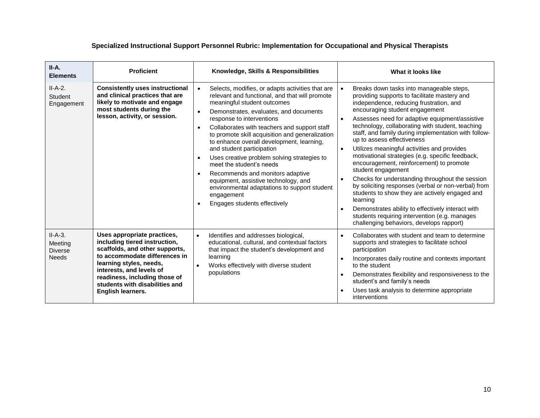| II-A.<br><b>Elements</b>                               | <b>Proficient</b>                                                                                                                                                                                                                                                              | Knowledge, Skills & Responsibilities                                                                                                                                                                                                                                                                                                                                                                                                                                                                                                                                                                                                                                                                                     | What it looks like                                                                                                                                                                                                                                                                                                                                                                                                                                                                                                                                                                                                                                                                                                                                                                                                                                                                                                   |
|--------------------------------------------------------|--------------------------------------------------------------------------------------------------------------------------------------------------------------------------------------------------------------------------------------------------------------------------------|--------------------------------------------------------------------------------------------------------------------------------------------------------------------------------------------------------------------------------------------------------------------------------------------------------------------------------------------------------------------------------------------------------------------------------------------------------------------------------------------------------------------------------------------------------------------------------------------------------------------------------------------------------------------------------------------------------------------------|----------------------------------------------------------------------------------------------------------------------------------------------------------------------------------------------------------------------------------------------------------------------------------------------------------------------------------------------------------------------------------------------------------------------------------------------------------------------------------------------------------------------------------------------------------------------------------------------------------------------------------------------------------------------------------------------------------------------------------------------------------------------------------------------------------------------------------------------------------------------------------------------------------------------|
| $II-A-2.$<br>Student<br>Engagement                     | <b>Consistently uses instructional</b><br>and clinical practices that are<br>likely to motivate and engage<br>most students during the<br>lesson, activity, or session.                                                                                                        | Selects, modifies, or adapts activities that are<br>$\bullet$<br>relevant and functional, and that will promote<br>meaningful student outcomes<br>Demonstrates, evaluates, and documents<br>$\bullet$<br>response to interventions<br>Collaborates with teachers and support staff<br>$\bullet$<br>to promote skill acquisition and generalization<br>to enhance overall development, learning,<br>and student participation<br>Uses creative problem solving strategies to<br>$\bullet$<br>meet the student's needs<br>Recommends and monitors adaptive<br>$\bullet$<br>equipment, assistive technology, and<br>environmental adaptations to support student<br>engagement<br>Engages students effectively<br>$\bullet$ | Breaks down tasks into manageable steps,<br>providing supports to facilitate mastery and<br>independence, reducing frustration, and<br>encouraging student engagement<br>Assesses need for adaptive equipment/assistive<br>$\bullet$<br>technology, collaborating with student, teaching<br>staff, and family during implementation with follow-<br>up to assess effectiveness<br>Utilizes meaningful activities and provides<br>$\bullet$<br>motivational strategies (e.g. specific feedback,<br>encouragement, reinforcement) to promote<br>student engagement<br>Checks for understanding throughout the session<br>$\bullet$<br>by soliciting responses (verbal or non-verbal) from<br>students to show they are actively engaged and<br>learning<br>Demonstrates ability to effectively interact with<br>$\bullet$<br>students requiring intervention (e.g. manages<br>challenging behaviors, develops rapport) |
| $II-A-3.$<br>Meeting<br><b>Diverse</b><br><b>Needs</b> | Uses appropriate practices,<br>including tiered instruction,<br>scaffolds, and other supports,<br>to accommodate differences in<br>learning styles, needs,<br>interests, and levels of<br>readiness, including those of<br>students with disabilities and<br>English learners. | Identifies and addresses biological,<br>$\bullet$<br>educational, cultural, and contextual factors<br>that impact the student's development and<br>learning<br>Works effectively with diverse student<br>$\bullet$<br>populations                                                                                                                                                                                                                                                                                                                                                                                                                                                                                        | Collaborates with student and team to determine<br>$\bullet$<br>supports and strategies to facilitate school<br>participation<br>Incorporates daily routine and contexts important<br>$\bullet$<br>to the student<br>Demonstrates flexibility and responsiveness to the<br>$\bullet$<br>student's and family's needs<br>Uses task analysis to determine appropriate<br>$\bullet$<br>interventions                                                                                                                                                                                                                                                                                                                                                                                                                                                                                                                    |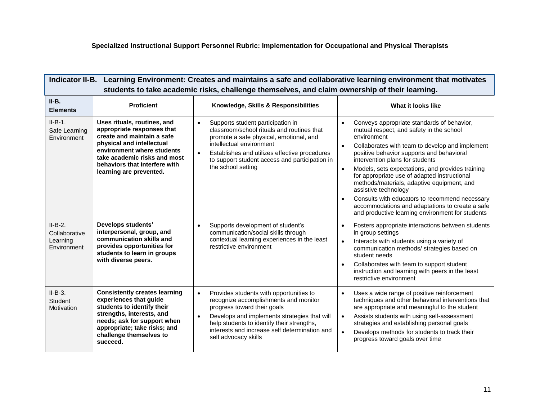Е

| Indicator II-B. Learning Environment: Creates and maintains a safe and collaborative learning environment that motivates<br>students to take academic risks, challenge themselves, and claim ownership of their learning. |                                                                                                                                                                                                                                                |                                                                                                                                                                                                                                                                                                                  |                                                                                                                                                                                                                                                                                                                                                                                                                                                                                                                                                                                                                    |
|---------------------------------------------------------------------------------------------------------------------------------------------------------------------------------------------------------------------------|------------------------------------------------------------------------------------------------------------------------------------------------------------------------------------------------------------------------------------------------|------------------------------------------------------------------------------------------------------------------------------------------------------------------------------------------------------------------------------------------------------------------------------------------------------------------|--------------------------------------------------------------------------------------------------------------------------------------------------------------------------------------------------------------------------------------------------------------------------------------------------------------------------------------------------------------------------------------------------------------------------------------------------------------------------------------------------------------------------------------------------------------------------------------------------------------------|
| $II-B.$<br><b>Elements</b>                                                                                                                                                                                                | <b>Proficient</b>                                                                                                                                                                                                                              | Knowledge, Skills & Responsibilities                                                                                                                                                                                                                                                                             | What it looks like                                                                                                                                                                                                                                                                                                                                                                                                                                                                                                                                                                                                 |
| $II-B-1.$<br>Safe Learning<br>Environment                                                                                                                                                                                 | Uses rituals, routines, and<br>appropriate responses that<br>create and maintain a safe<br>physical and intellectual<br>environment where students<br>take academic risks and most<br>behaviors that interfere with<br>learning are prevented. | Supports student participation in<br>$\bullet$<br>classroom/school rituals and routines that<br>promote a safe physical, emotional, and<br>intellectual environment<br>Establishes and utilizes effective procedures<br>$\bullet$<br>to support student access and participation in<br>the school setting        | Conveys appropriate standards of behavior,<br>$\bullet$<br>mutual respect, and safety in the school<br>environment<br>Collaborates with team to develop and implement<br>$\bullet$<br>positive behavior supports and behavioral<br>intervention plans for students<br>Models, sets expectations, and provides training<br>for appropriate use of adapted instructional<br>methods/materials, adaptive equipment, and<br>assistive technology<br>Consults with educators to recommend necessary<br>$\bullet$<br>accommodations and adaptations to create a safe<br>and productive learning environment for students |
| $II-B-2.$<br>Collaborative<br>Learning<br>Environment                                                                                                                                                                     | Develops students'<br>interpersonal, group, and<br>communication skills and<br>provides opportunities for<br>students to learn in groups<br>with diverse peers.                                                                                | Supports development of student's<br>$\bullet$<br>communication/social skills through<br>contextual learning experiences in the least<br>restrictive environment                                                                                                                                                 | Fosters appropriate interactions between students<br>$\bullet$<br>in group settings<br>Interacts with students using a variety of<br>$\bullet$<br>communication methods/ strategies based on<br>student needs<br>Collaborates with team to support student<br>instruction and learning with peers in the least<br>restrictive environment                                                                                                                                                                                                                                                                          |
| $II-B-3.$<br>Student<br>Motivation                                                                                                                                                                                        | <b>Consistently creates learning</b><br>experiences that guide<br>students to identify their<br>strengths, interests, and<br>needs; ask for support when<br>appropriate; take risks; and<br>challenge themselves to<br>succeed.                | $\bullet$<br>Provides students with opportunities to<br>recognize accomplishments and monitor<br>progress toward their goals<br>Develops and implements strategies that will<br>$\bullet$<br>help students to identify their strengths,<br>interests and increase self determination and<br>self advocacy skills | Uses a wide range of positive reinforcement<br>$\bullet$<br>techniques and other behavioral interventions that<br>are appropriate and meaningful to the student<br>Assists students with using self-assessment<br>$\bullet$<br>strategies and establishing personal goals<br>Develops methods for students to track their<br>$\bullet$<br>progress toward goals over time                                                                                                                                                                                                                                          |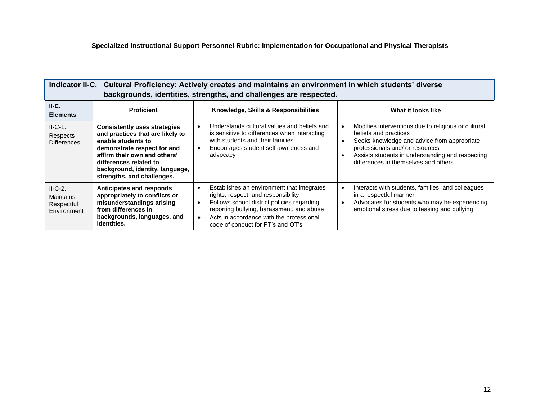| Indicator II-C. Cultural Proficiency: Actively creates and maintains an environment in which students' diverse<br>backgrounds, identities, strengths, and challenges are respected. |                                                                                                                                                                                                                                                         |                                                                                                                                                                                                                                                                                                                   |                                                                                                                                                                                                                                                            |
|-------------------------------------------------------------------------------------------------------------------------------------------------------------------------------------|---------------------------------------------------------------------------------------------------------------------------------------------------------------------------------------------------------------------------------------------------------|-------------------------------------------------------------------------------------------------------------------------------------------------------------------------------------------------------------------------------------------------------------------------------------------------------------------|------------------------------------------------------------------------------------------------------------------------------------------------------------------------------------------------------------------------------------------------------------|
| $II-C.$<br><b>Elements</b>                                                                                                                                                          | <b>Proficient</b>                                                                                                                                                                                                                                       | Knowledge, Skills & Responsibilities                                                                                                                                                                                                                                                                              | What it looks like                                                                                                                                                                                                                                         |
| $II-C-1.$<br>Respects<br><b>Differences</b>                                                                                                                                         | <b>Consistently uses strategies</b><br>and practices that are likely to<br>enable students to<br>demonstrate respect for and<br>affirm their own and others'<br>differences related to<br>background, identity, language,<br>strengths, and challenges. | Understands cultural values and beliefs and<br>$\bullet$<br>is sensitive to differences when interacting<br>with students and their families<br>$\bullet$<br>Encourages student self awareness and<br>advocacy<br>$\bullet$                                                                                       | Modifies interventions due to religious or cultural<br>beliefs and practices<br>Seeks knowledge and advice from appropriate<br>professionals and/ or resources<br>Assists students in understanding and respecting<br>differences in themselves and others |
| $II-C-2.$<br><b>Maintains</b><br>Respectful<br>Environment                                                                                                                          | Anticipates and responds<br>appropriately to conflicts or<br>misunderstandings arising<br>from differences in<br>backgrounds, languages, and<br>identities.                                                                                             | Establishes an environment that integrates<br>$\bullet$<br>$\bullet$<br>rights, respect, and responsibility<br>Follows school district policies regarding<br>$\bullet$<br>$\bullet$<br>reporting bullying, harassment, and abuse<br>Acts in accordance with the professional<br>code of conduct for PT's and OT's | Interacts with students, families, and colleagues<br>in a respectful manner<br>Advocates for students who may be experiencing<br>emotional stress due to teasing and bullying                                                                              |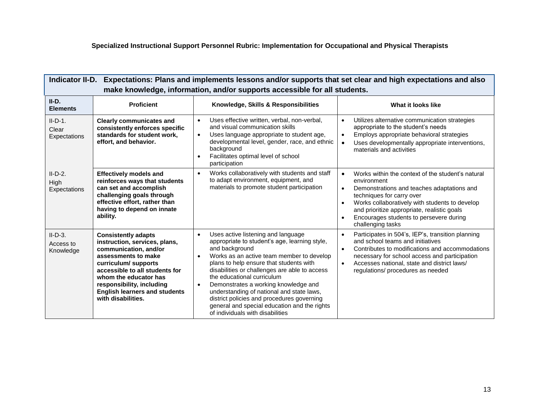| Indicator II-D. Expectations: Plans and implements lessons and/or supports that set clear and high expectations and also<br>make knowledge, information, and/or supports accessible for all students. |                                                                                                                                                                                                                                                                                          |                                                                                                                                                                                                                                                                                                                                                                                                                                                                                                                                            |                                                                                                                                                                                                                                                                                                                                                     |
|-------------------------------------------------------------------------------------------------------------------------------------------------------------------------------------------------------|------------------------------------------------------------------------------------------------------------------------------------------------------------------------------------------------------------------------------------------------------------------------------------------|--------------------------------------------------------------------------------------------------------------------------------------------------------------------------------------------------------------------------------------------------------------------------------------------------------------------------------------------------------------------------------------------------------------------------------------------------------------------------------------------------------------------------------------------|-----------------------------------------------------------------------------------------------------------------------------------------------------------------------------------------------------------------------------------------------------------------------------------------------------------------------------------------------------|
| II-D.<br><b>Elements</b>                                                                                                                                                                              | <b>Proficient</b>                                                                                                                                                                                                                                                                        | Knowledge, Skills & Responsibilities                                                                                                                                                                                                                                                                                                                                                                                                                                                                                                       | What it looks like                                                                                                                                                                                                                                                                                                                                  |
| $II-D-1.$<br>Clear<br>Expectations                                                                                                                                                                    | <b>Clearly communicates and</b><br>consistently enforces specific<br>standards for student work,<br>effort, and behavior.                                                                                                                                                                | Uses effective written, verbal, non-verbal,<br>$\bullet$<br>and visual communication skills<br>Uses language appropriate to student age,<br>$\bullet$<br>developmental level, gender, race, and ethnic<br>background<br>Facilitates optimal level of school<br>$\bullet$<br>participation                                                                                                                                                                                                                                                  | Utilizes alternative communication strategies<br>$\bullet$<br>appropriate to the student's needs<br>Employs appropriate behavioral strategies<br>$\bullet$<br>Uses developmentally appropriate interventions,<br>$\bullet$<br>materials and activities                                                                                              |
| $II-D-2.$<br>High<br>Expectations                                                                                                                                                                     | <b>Effectively models and</b><br>reinforces ways that students<br>can set and accomplish<br>challenging goals through<br>effective effort, rather than<br>having to depend on innate<br>ability.                                                                                         | Works collaboratively with students and staff<br>$\bullet$<br>to adapt environment, equipment, and<br>materials to promote student participation                                                                                                                                                                                                                                                                                                                                                                                           | Works within the context of the student's natural<br>$\bullet$<br>environment<br>Demonstrations and teaches adaptations and<br>$\bullet$<br>techniques for carry over<br>Works collaboratively with students to develop<br>$\bullet$<br>and prioritize appropriate, realistic goals<br>Encourages students to persevere during<br>challenging tasks |
| $II-D-3.$<br>Access to<br>Knowledge                                                                                                                                                                   | <b>Consistently adapts</b><br>instruction, services, plans,<br>communication, and/or<br>assessments to make<br>curriculum/supports<br>accessible to all students for<br>whom the educator has<br>responsibility, including<br><b>English learners and students</b><br>with disabilities. | Uses active listening and language<br>$\bullet$<br>appropriate to student's age, learning style,<br>and background<br>Works as an active team member to develop<br>$\bullet$<br>plans to help ensure that students with<br>disabilities or challenges are able to access<br>the educational curriculum<br>Demonstrates a working knowledge and<br>$\bullet$<br>understanding of national and state laws,<br>district policies and procedures governing<br>general and special education and the rights<br>of individuals with disabilities | Participates in 504's, IEP's, transition planning<br>$\bullet$<br>and school teams and initiatives<br>Contributes to modifications and accommodations<br>$\bullet$<br>necessary for school access and participation<br>Accesses national, state and district laws/<br>$\bullet$<br>regulations/ procedures as needed                                |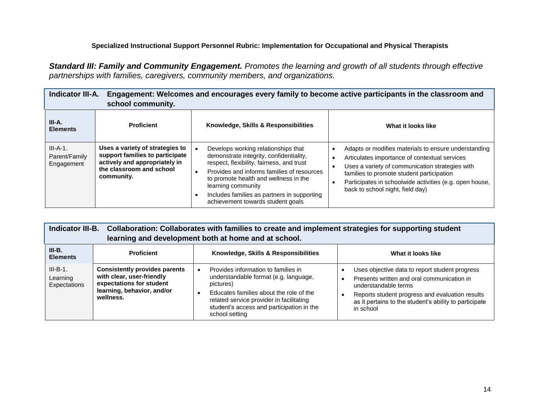*Standard III: Family and Community Engagement. Promotes the learning and growth of all students through effective partnerships with families, caregivers, community members, and organizations.*

| <b>Indicator III-A.</b><br>Engagement: Welcomes and encourages every family to become active participants in the classroom and<br>school community. |                                                                                                                                               |                                                                                                                                                                                                                                                                                                                              |                                                                                                                                                                                                                                                                                                      |
|-----------------------------------------------------------------------------------------------------------------------------------------------------|-----------------------------------------------------------------------------------------------------------------------------------------------|------------------------------------------------------------------------------------------------------------------------------------------------------------------------------------------------------------------------------------------------------------------------------------------------------------------------------|------------------------------------------------------------------------------------------------------------------------------------------------------------------------------------------------------------------------------------------------------------------------------------------------------|
| III-A.<br><b>Elements</b>                                                                                                                           | <b>Proficient</b>                                                                                                                             | Knowledge, Skills & Responsibilities                                                                                                                                                                                                                                                                                         | What it looks like                                                                                                                                                                                                                                                                                   |
| $III-A-1.$<br>Parent/Family<br>Engagement                                                                                                           | Uses a variety of strategies to<br>support families to participate<br>actively and appropriately in<br>the classroom and school<br>community. | Develops working relationships that<br>demonstrate integrity, confidentiality,<br>respect, flexibility, fairness, and trust<br>Provides and informs families of resources<br>to promote health and wellness in the<br>learning community<br>Includes families as partners in supporting<br>achievement towards student goals | Adapts or modifies materials to ensure understanding<br>Articulates importance of contextual services<br>Uses a variety of communication strategies with<br>families to promote student participation<br>Participates in schoolwide activities (e.g. open house,<br>back to school night, field day) |

| Indicator III-B. Collaboration: Collaborates with families to create and implement strategies for supporting student<br>learning and development both at home and at school. |                                                                                                                                          |                                                                                                                                                                                                                                                 |                                                                                                                                                                                                                                                |
|------------------------------------------------------------------------------------------------------------------------------------------------------------------------------|------------------------------------------------------------------------------------------------------------------------------------------|-------------------------------------------------------------------------------------------------------------------------------------------------------------------------------------------------------------------------------------------------|------------------------------------------------------------------------------------------------------------------------------------------------------------------------------------------------------------------------------------------------|
| $III-B.$<br><b>Elements</b>                                                                                                                                                  | <b>Proficient</b>                                                                                                                        | Knowledge, Skills & Responsibilities                                                                                                                                                                                                            | What it looks like                                                                                                                                                                                                                             |
| $III-B-1.$<br>Learning<br>Expectations                                                                                                                                       | <b>Consistently provides parents</b><br>with clear, user-friendly<br>expectations for student<br>learning, behavior, and/or<br>wellness. | Provides information to families in<br>understandable format (e.g. language,<br>pictures)<br>Educates families about the role of the<br>related service provider in facilitating<br>student's access and participation in the<br>school setting | Uses objective data to report student progress<br>Presents written and oral communication in<br>understandable terms<br>Reports student progress and evaluation results<br>as it pertains to the student's ability to participate<br>in school |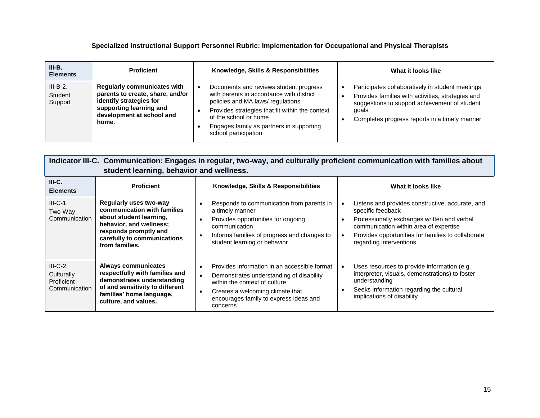| III-B.<br><b>Elements</b>        | <b>Proficient</b>                                                                                                                                                  | Knowledge, Skills & Responsibilities                                                                                                                                                                                                                                   | What it looks like                                                                                                                                                                                               |
|----------------------------------|--------------------------------------------------------------------------------------------------------------------------------------------------------------------|------------------------------------------------------------------------------------------------------------------------------------------------------------------------------------------------------------------------------------------------------------------------|------------------------------------------------------------------------------------------------------------------------------------------------------------------------------------------------------------------|
| $III-B-2.$<br>Student<br>Support | <b>Regularly communicates with</b><br>parents to create, share, and/or<br>identify strategies for<br>supporting learning and<br>development at school and<br>home. | Documents and reviews student progress<br>with parents in accordance with district<br>policies and MA laws/regulations<br>Provides strategies that fit within the context<br>of the school or home<br>Engages family as partners in supporting<br>school participation | Participates collaboratively in student meetings<br>Provides families with activities, strategies and<br>suggestions to support achievement of student<br>goals<br>Completes progress reports in a timely manner |

|                                                                | Indicator III-C. Communication: Engages in regular, two-way, and culturally proficient communication with families about<br>student learning, behavior and wellness.                  |                                                                                                                                                                                                                                                            |                                                                                                                                                                                                                                                 |  |
|----------------------------------------------------------------|---------------------------------------------------------------------------------------------------------------------------------------------------------------------------------------|------------------------------------------------------------------------------------------------------------------------------------------------------------------------------------------------------------------------------------------------------------|-------------------------------------------------------------------------------------------------------------------------------------------------------------------------------------------------------------------------------------------------|--|
| $III-C.$<br><b>Elements</b>                                    | <b>Proficient</b>                                                                                                                                                                     | Knowledge, Skills & Responsibilities                                                                                                                                                                                                                       | What it looks like                                                                                                                                                                                                                              |  |
| $III-C-1.$<br>Two-Way<br>Communication                         | Regularly uses two-way<br>communication with families<br>about student learning,<br>behavior, and wellness;<br>responds promptly and<br>carefully to communications<br>from families. | Responds to communication from parents in<br>$\bullet$<br>a timely manner<br>Provides opportunities for ongoing<br>communication<br>Informs families of progress and changes to<br>$\bullet$<br>student learning or behavior                               | Listens and provides constructive, accurate, and<br>specific feedback<br>Professionally exchanges written and verbal<br>communication within area of expertise<br>Provides opportunities for families to collaborate<br>regarding interventions |  |
| $III-C-2.$<br>Culturally<br><b>Proficient</b><br>Communication | Always communicates<br>respectfully with families and<br>demonstrates understanding<br>of and sensitivity to different<br>families' home language,<br>culture, and values.            | Provides information in an accessible format<br>$\bullet$<br>Demonstrates understanding of disability<br>$\bullet$<br>within the context of culture<br>Creates a welcoming climate that<br>$\bullet$<br>encourages family to express ideas and<br>concerns | Uses resources to provide information (e.g.<br>interpreter, visuals, demonstrations) to foster<br>understanding<br>Seeks information regarding the cultural<br>implications of disability                                                       |  |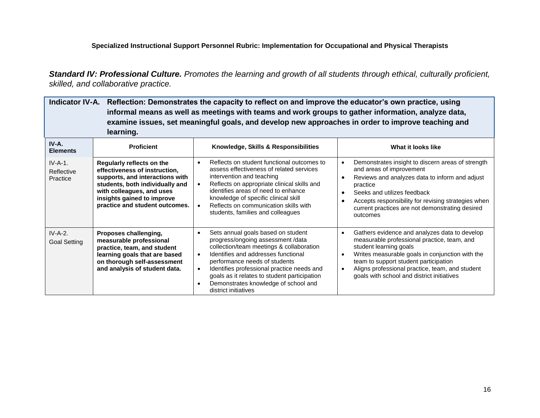*Standard IV: Professional Culture. Promotes the learning and growth of all students through ethical, culturally proficient, skilled, and collaborative practice.*

| Indicator IV-A. Reflection: Demonstrates the capacity to reflect on and improve the educator's own practice, using<br>informal means as well as meetings with teams and work groups to gather information, analyze data,<br>examine issues, set meaningful goals, and develop new approaches in order to improve teaching and<br>learning. |                                                                                                                                                                                                                               |                                                                                                                                                                                                                                                                                                                                                                                     |                                                                                                                                                                                                                                                                                                                                  |
|--------------------------------------------------------------------------------------------------------------------------------------------------------------------------------------------------------------------------------------------------------------------------------------------------------------------------------------------|-------------------------------------------------------------------------------------------------------------------------------------------------------------------------------------------------------------------------------|-------------------------------------------------------------------------------------------------------------------------------------------------------------------------------------------------------------------------------------------------------------------------------------------------------------------------------------------------------------------------------------|----------------------------------------------------------------------------------------------------------------------------------------------------------------------------------------------------------------------------------------------------------------------------------------------------------------------------------|
| IV-A.<br><b>Elements</b>                                                                                                                                                                                                                                                                                                                   | <b>Proficient</b>                                                                                                                                                                                                             | Knowledge, Skills & Responsibilities                                                                                                                                                                                                                                                                                                                                                | What it looks like                                                                                                                                                                                                                                                                                                               |
| $IV-A-1.$<br>Reflective<br>Practice                                                                                                                                                                                                                                                                                                        | Regularly reflects on the<br>effectiveness of instruction,<br>supports, and interactions with<br>students, both individually and<br>with colleagues, and uses<br>insights gained to improve<br>practice and student outcomes. | Reflects on student functional outcomes to<br>$\bullet$<br>assess effectiveness of related services<br>intervention and teaching<br>Reflects on appropriate clinical skills and<br>identifies areas of need to enhance<br>knowledge of specific clinical skill<br>Reflects on communication skills with<br>students, families and colleagues                                        | Demonstrates insight to discern areas of strength<br>and areas of improvement<br>Reviews and analyzes data to inform and adjust<br>practice<br>Seeks and utilizes feedback<br>$\bullet$<br>Accepts responsibility for revising strategies when<br>current practices are not demonstrating desired<br>outcomes                    |
| $IV-A-2.$<br><b>Goal Setting</b>                                                                                                                                                                                                                                                                                                           | Proposes challenging,<br>measurable professional<br>practice, team, and student<br>learning goals that are based<br>on thorough self-assessment<br>and analysis of student data.                                              | Sets annual goals based on student<br>progress/ongoing assessment /data<br>collection/team meetings & collaboration<br>Identifies and addresses functional<br>$\bullet$<br>performance needs of students<br>Identifies professional practice needs and<br>goals as it relates to student participation<br>Demonstrates knowledge of school and<br>$\bullet$<br>district initiatives | Gathers evidence and analyzes data to develop<br>measurable professional practice, team, and<br>student learning goals<br>Writes measurable goals in conjunction with the<br>$\bullet$<br>team to support student participation<br>Aligns professional practice, team, and student<br>goals with school and district initiatives |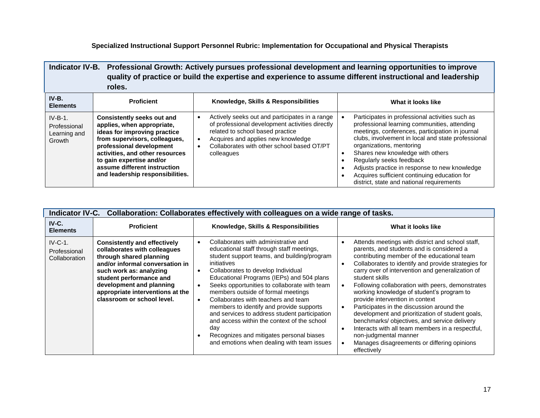| Indicator IV-B. Professional Growth: Actively pursues professional development and learning opportunities to improve<br>quality of practice or build the expertise and experience to assume different instructional and leadership<br>roles. |                                                                                                                                                                                                                                                                                                 |                                                                                                                                                                                                                                         |                                                                                                                                                                                                                                                                                                                                                                                                                                                                                           |
|----------------------------------------------------------------------------------------------------------------------------------------------------------------------------------------------------------------------------------------------|-------------------------------------------------------------------------------------------------------------------------------------------------------------------------------------------------------------------------------------------------------------------------------------------------|-----------------------------------------------------------------------------------------------------------------------------------------------------------------------------------------------------------------------------------------|-------------------------------------------------------------------------------------------------------------------------------------------------------------------------------------------------------------------------------------------------------------------------------------------------------------------------------------------------------------------------------------------------------------------------------------------------------------------------------------------|
| $IV-B.$<br><b>Elements</b>                                                                                                                                                                                                                   | <b>Proficient</b>                                                                                                                                                                                                                                                                               | Knowledge, Skills & Responsibilities                                                                                                                                                                                                    | What it looks like                                                                                                                                                                                                                                                                                                                                                                                                                                                                        |
| $IV-B-1.$<br>Professional<br>Learning and<br>Growth                                                                                                                                                                                          | <b>Consistently seeks out and</b><br>applies, when appropriate,<br>ideas for improving practice<br>from supervisors, colleagues,<br>professional development<br>activities, and other resources<br>to gain expertise and/or<br>assume different instruction<br>and leadership responsibilities. | Actively seeks out and participates in a range<br>of professional development activities directly<br>related to school based practice<br>Acquires and applies new knowledge<br>Collaborates with other school based OT/PT<br>colleagues | Participates in professional activities such as<br>professional learning communities, attending<br>meetings, conferences, participation in journal<br>clubs, involvement in local and state professional<br>organizations, mentoring<br>Shares new knowledge with others<br>$\bullet$<br>Regularly seeks feedback<br>Adjusts practice in response to new knowledge<br>$\bullet$<br>Acquires sufficient continuing education for<br>$\bullet$<br>district, state and national requirements |

|                                             | Collaboration: Collaborates effectively with colleagues on a wide range of tasks.<br><b>Indicator IV-C.</b>                                                                                                                                                                           |                                                                                                                                                                                                                                                                                                                                                                                                                                                                                                                                                                                                                           |                                                                                                                                                                                                                                                                                                                                                                                                                                                                                                                                                                                                                                                                                                                        |  |
|---------------------------------------------|---------------------------------------------------------------------------------------------------------------------------------------------------------------------------------------------------------------------------------------------------------------------------------------|---------------------------------------------------------------------------------------------------------------------------------------------------------------------------------------------------------------------------------------------------------------------------------------------------------------------------------------------------------------------------------------------------------------------------------------------------------------------------------------------------------------------------------------------------------------------------------------------------------------------------|------------------------------------------------------------------------------------------------------------------------------------------------------------------------------------------------------------------------------------------------------------------------------------------------------------------------------------------------------------------------------------------------------------------------------------------------------------------------------------------------------------------------------------------------------------------------------------------------------------------------------------------------------------------------------------------------------------------------|--|
| IV-C.<br><b>Elements</b>                    | <b>Proficient</b>                                                                                                                                                                                                                                                                     | Knowledge, Skills & Responsibilities                                                                                                                                                                                                                                                                                                                                                                                                                                                                                                                                                                                      | What it looks like                                                                                                                                                                                                                                                                                                                                                                                                                                                                                                                                                                                                                                                                                                     |  |
| $IV-C-1$ .<br>Professional<br>Collaboration | <b>Consistently and effectively</b><br>collaborates with colleagues<br>through shared planning<br>and/or informal conversation in<br>such work as: analyzing<br>student performance and<br>development and planning<br>appropriate interventions at the<br>classroom or school level. | Collaborates with administrative and<br>educational staff through staff meetings,<br>student support teams, and building/program<br>initiatives<br>Collaborates to develop Individual<br>$\bullet$<br>Educational Programs (IEPs) and 504 plans<br>Seeks opportunities to collaborate with team<br>members outside of formal meetings<br>Collaborates with teachers and team<br>members to identify and provide supports<br>and services to address student participation<br>and access within the context of the school<br>day<br>Recognizes and mitigates personal biases<br>and emotions when dealing with team issues | Attends meetings with district and school staff,<br>parents, and students and is considered a<br>contributing member of the educational team<br>Collaborates to identify and provide strategies for<br>carry over of intervention and generalization of<br>student skills<br>Following collaboration with peers, demonstrates<br>working knowledge of student's program to<br>provide intervention in context<br>Participates in the discussion around the<br>development and prioritization of student goals,<br>benchmarks/ objectives, and service delivery<br>Interacts with all team members in a respectful,<br>$\bullet$<br>non-judgmental manner<br>Manages disagreements or differing opinions<br>effectively |  |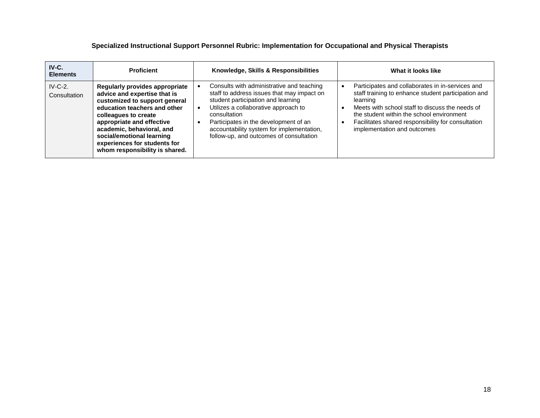| $IV-C.$<br><b>Elements</b> | <b>Proficient</b>                                                                                                                                                                                                                                                                                                | Knowledge, Skills & Responsibilities                                                                                                                                                                                                                                                                                   | What it looks like                                                                                                                                                                                                                                                                                       |
|----------------------------|------------------------------------------------------------------------------------------------------------------------------------------------------------------------------------------------------------------------------------------------------------------------------------------------------------------|------------------------------------------------------------------------------------------------------------------------------------------------------------------------------------------------------------------------------------------------------------------------------------------------------------------------|----------------------------------------------------------------------------------------------------------------------------------------------------------------------------------------------------------------------------------------------------------------------------------------------------------|
| $IV-C-2.$<br>Consultation  | Regularly provides appropriate<br>advice and expertise that is<br>customized to support general<br>education teachers and other<br>colleagues to create<br>appropriate and effective<br>academic, behavioral, and<br>social/emotional learning<br>experiences for students for<br>whom responsibility is shared. | Consults with administrative and teaching<br>staff to address issues that may impact on<br>student participation and learning<br>Utilizes a collaborative approach to<br>consultation<br>Participates in the development of an<br>accountability system for implementation,<br>follow-up, and outcomes of consultation | Participates and collaborates in in-services and<br>staff training to enhance student participation and<br>learning<br>Meets with school staff to discuss the needs of<br>the student within the school environment<br>Facilitates shared responsibility for consultation<br>implementation and outcomes |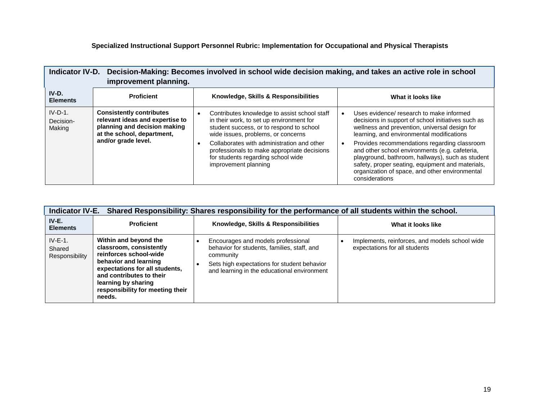| Indicator IV-D. Decision-Making: Becomes involved in school wide decision making, and takes an active role in school<br>improvement planning. |                                                                                                                                                         |                                                                                                                                                                                                                                                                                                                                       |                                                                                                                                                                                                                                                                                                                                                                                                                                                                            |
|-----------------------------------------------------------------------------------------------------------------------------------------------|---------------------------------------------------------------------------------------------------------------------------------------------------------|---------------------------------------------------------------------------------------------------------------------------------------------------------------------------------------------------------------------------------------------------------------------------------------------------------------------------------------|----------------------------------------------------------------------------------------------------------------------------------------------------------------------------------------------------------------------------------------------------------------------------------------------------------------------------------------------------------------------------------------------------------------------------------------------------------------------------|
| IV-D.<br><b>Elements</b>                                                                                                                      | <b>Proficient</b>                                                                                                                                       | Knowledge, Skills & Responsibilities                                                                                                                                                                                                                                                                                                  | What it looks like                                                                                                                                                                                                                                                                                                                                                                                                                                                         |
| $IV-D-1.$<br>Decision-<br>Making                                                                                                              | <b>Consistently contributes</b><br>relevant ideas and expertise to<br>planning and decision making<br>at the school, department,<br>and/or grade level. | Contributes knowledge to assist school staff<br>in their work, to set up environment for<br>student success, or to respond to school<br>wide issues, problems, or concerns<br>Collaborates with administration and other<br>professionals to make appropriate decisions<br>for students regarding school wide<br>improvement planning | Uses evidence/ research to make informed<br>decisions in support of school initiatives such as<br>wellness and prevention, universal design for<br>learning, and environmental modifications<br>Provides recommendations regarding classroom<br>and other school environments (e.g. cafeteria,<br>playground, bathroom, hallways), such as student<br>safety, proper seating, equipment and materials,<br>organization of space, and other environmental<br>considerations |

| Shared Responsibility: Shares responsibility for the performance of all students within the school.<br><b>Indicator IV-E.</b> |                                                                                                                                                                                                                                        |                                                                                                                                                                                              |                                                                                 |
|-------------------------------------------------------------------------------------------------------------------------------|----------------------------------------------------------------------------------------------------------------------------------------------------------------------------------------------------------------------------------------|----------------------------------------------------------------------------------------------------------------------------------------------------------------------------------------------|---------------------------------------------------------------------------------|
| $IV-E.$<br><b>Elements</b>                                                                                                    | <b>Proficient</b>                                                                                                                                                                                                                      | Knowledge, Skills & Responsibilities                                                                                                                                                         | What it looks like                                                              |
| $IV-E-1.$<br>Shared<br>Responsibility                                                                                         | Within and beyond the<br>classroom, consistently<br>reinforces school-wide<br>behavior and learning<br>expectations for all students,<br>and contributes to their<br>learning by sharing<br>responsibility for meeting their<br>needs. | Encourages and models professional<br>behavior for students, families, staff, and<br>community<br>Sets high expectations for student behavior<br>and learning in the educational environment | Implements, reinforces, and models school wide<br>expectations for all students |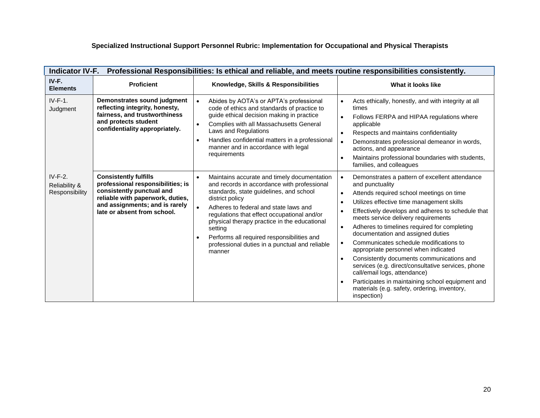| <b>Indicator IV-F.</b><br>Professional Responsibilities: Is ethical and reliable, and meets routine responsibilities consistently. |                                                                                                                                                                                                     |                                                                                                                                                                                                                                                                                                                                                                                                                                                              |                                                                                                                                                                                                                                                                                                                                                                                                                                                                                                                                                                                                                                                                                                                                                                                             |
|------------------------------------------------------------------------------------------------------------------------------------|-----------------------------------------------------------------------------------------------------------------------------------------------------------------------------------------------------|--------------------------------------------------------------------------------------------------------------------------------------------------------------------------------------------------------------------------------------------------------------------------------------------------------------------------------------------------------------------------------------------------------------------------------------------------------------|---------------------------------------------------------------------------------------------------------------------------------------------------------------------------------------------------------------------------------------------------------------------------------------------------------------------------------------------------------------------------------------------------------------------------------------------------------------------------------------------------------------------------------------------------------------------------------------------------------------------------------------------------------------------------------------------------------------------------------------------------------------------------------------------|
| IV-F.<br><b>Elements</b>                                                                                                           | <b>Proficient</b>                                                                                                                                                                                   | Knowledge, Skills & Responsibilities                                                                                                                                                                                                                                                                                                                                                                                                                         | What it looks like                                                                                                                                                                                                                                                                                                                                                                                                                                                                                                                                                                                                                                                                                                                                                                          |
| $IV-F-1.$<br>Judgment                                                                                                              | Demonstrates sound judgment<br>reflecting integrity, honesty,<br>fairness, and trustworthiness<br>and protects student<br>confidentiality appropriately.                                            | Abides by AOTA's or APTA's professional<br>$\bullet$<br>code of ethics and standards of practice to<br>guide ethical decision making in practice<br>Complies with all Massachusetts General<br>$\bullet$<br>Laws and Regulations<br>Handles confidential matters in a professional<br>$\bullet$<br>manner and in accordance with legal<br>requirements                                                                                                       | Acts ethically, honestly, and with integrity at all<br>$\bullet$<br>times<br>$\bullet$<br>Follows FERPA and HIPAA regulations where<br>applicable<br>Respects and maintains confidentiality<br>$\bullet$<br>Demonstrates professional demeanor in words,<br>$\bullet$<br>actions, and appearance<br>Maintains professional boundaries with students,<br>$\bullet$<br>families, and colleagues                                                                                                                                                                                                                                                                                                                                                                                               |
| $IV-F-2.$<br>Reliability &<br>Responsibility                                                                                       | <b>Consistently fulfills</b><br>professional responsibilities; is<br>consistently punctual and<br>reliable with paperwork, duties,<br>and assignments; and is rarely<br>late or absent from school. | Maintains accurate and timely documentation<br>$\bullet$<br>and records in accordance with professional<br>standards, state guidelines, and school<br>district policy<br>$\bullet$<br>Adheres to federal and state laws and<br>regulations that effect occupational and/or<br>physical therapy practice in the educational<br>setting<br>Performs all required responsibilities and<br>$\bullet$<br>professional duties in a punctual and reliable<br>manner | Demonstrates a pattern of excellent attendance<br>$\bullet$<br>and punctuality<br>Attends required school meetings on time<br>$\bullet$<br>Utilizes effective time management skills<br>$\bullet$<br>Effectively develops and adheres to schedule that<br>$\bullet$<br>meets service delivery requirements<br>Adheres to timelines required for completing<br>$\bullet$<br>documentation and assigned duties<br>Communicates schedule modifications to<br>$\bullet$<br>appropriate personnel when indicated<br>Consistently documents communications and<br>$\bullet$<br>services (e.g. direct/consultative services, phone<br>call/email logs, attendance)<br>Participates in maintaining school equipment and<br>$\bullet$<br>materials (e.g. safety, ordering, inventory,<br>inspection) |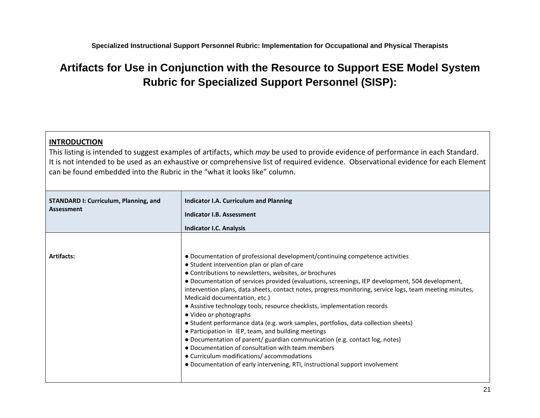# **Artifacts for Use in Conjunction with the Resource to Support ESE Model System Rubric for Specialized Support Personnel (SISP):**

# **INTRODUCTION**

This listing is intended to suggest examples of artifacts, which *may* be used to provide evidence of performance in each Standard. It is not intended to be used as an exhaustive or comprehensive list of required evidence. Observational evidence for each Element can be found embedded into the Rubric in the "what it looks like" column.

| <b>STANDARD I: Curriculum, Planning, and</b><br><b>Assessment</b> | <b>Indicator I.A. Curriculum and Planning</b><br>Indicator I.B. Assessment<br><b>Indicator I.C. Analysis</b>                                                                                                                                                                                                                                                                                                                                                                                                                                                                                                                                                                                                                                                              |
|-------------------------------------------------------------------|---------------------------------------------------------------------------------------------------------------------------------------------------------------------------------------------------------------------------------------------------------------------------------------------------------------------------------------------------------------------------------------------------------------------------------------------------------------------------------------------------------------------------------------------------------------------------------------------------------------------------------------------------------------------------------------------------------------------------------------------------------------------------|
| <b>Artifacts:</b>                                                 | • Documentation of professional development/continuing competence activities<br>• Student intervention plan or plan of care<br>• Contributions to newsletters, websites, or brochures<br>• Documentation of services provided (evaluations, screenings, IEP development, 504 development,<br>intervention plans, data sheets, contact notes, progress monitoring, service logs, team meeting minutes,<br>Medicaid documentation, etc.)<br>• Assistive technology tools, resource checklists, implementation records<br>• Video or photographs<br>• Student performance data (e.g. work samples, portfolios, data collection sheets)<br>• Participation in IEP, team, and building meetings<br>• Documentation of parent/ guardian communication (e.g. contact log, notes) |
|                                                                   | • Documentation of consultation with team members<br>• Curriculum modifications/ accommodations<br>• Documentation of early intervening, RTI, instructional support involvement                                                                                                                                                                                                                                                                                                                                                                                                                                                                                                                                                                                           |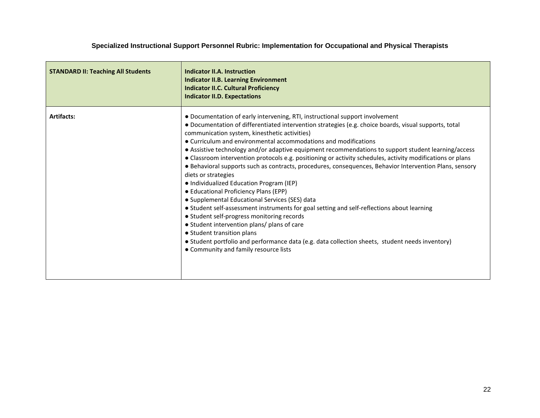| <b>STANDARD II: Teaching All Students</b> | Indicator II.A. Instruction<br><b>Indicator II.B. Learning Environment</b><br><b>Indicator II.C. Cultural Proficiency</b><br><b>Indicator II.D. Expectations</b>                                                                                                                                                                                                                                                                                                                                                                                                                                                                                                                                                                                                                                                                                                                                                                                                                                                                                                                                                                                                             |
|-------------------------------------------|------------------------------------------------------------------------------------------------------------------------------------------------------------------------------------------------------------------------------------------------------------------------------------------------------------------------------------------------------------------------------------------------------------------------------------------------------------------------------------------------------------------------------------------------------------------------------------------------------------------------------------------------------------------------------------------------------------------------------------------------------------------------------------------------------------------------------------------------------------------------------------------------------------------------------------------------------------------------------------------------------------------------------------------------------------------------------------------------------------------------------------------------------------------------------|
| <b>Artifacts:</b>                         | • Documentation of early intervening, RTI, instructional support involvement<br>• Documentation of differentiated intervention strategies (e.g. choice boards, visual supports, total<br>communication system, kinesthetic activities)<br>• Curriculum and environmental accommodations and modifications<br>• Assistive technology and/or adaptive equipment recommendations to support student learning/access<br>• Classroom intervention protocols e.g. positioning or activity schedules, activity modifications or plans<br>• Behavioral supports such as contracts, procedures, consequences, Behavior Intervention Plans, sensory<br>diets or strategies<br>• Individualized Education Program (IEP)<br>• Educational Proficiency Plans (EPP)<br>• Supplemental Educational Services (SES) data<br>• Student self-assessment instruments for goal setting and self-reflections about learning<br>• Student self-progress monitoring records<br>• Student intervention plans/ plans of care<br>• Student transition plans<br>• Student portfolio and performance data (e.g. data collection sheets, student needs inventory)<br>• Community and family resource lists |